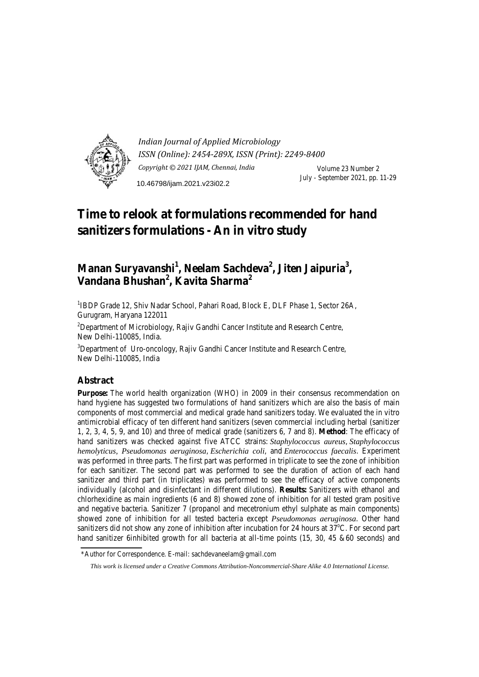

*Indian Journal of Applied Microbiology ISSN (Online): 2454-289X, ISSN (Print): 2249-8400 Copyright © 2021 IJAM, Chennai, India* Volume 23 Number 2 July - September 2021, pp. 11-29 10.46798/ijam.2021.v23i02.2

# **Time to relook at formulations recommended for hand sanitizers formulations - An in vitro study**

# **Manan Suryavanshi<sup>1</sup> , Neelam Sachdeva<sup>2</sup> , Jiten Jaipuria<sup>3</sup> , Vandana Bhushan<sup>2</sup> , Kavita Sharma<sup>2</sup>**

<sup>1</sup>IBDP Grade 12, Shiv Nadar School, Pahari Road, Block E, DLF Phase 1, Sector 26A, Gurugram, Haryana 122011

<sup>2</sup>Department of Microbiology, Rajiv Gandhi Cancer Institute and Research Centre, New Delhi-110085, India.

<sup>3</sup>Department of Uro-oncology, Rajiv Gandhi Cancer Institute and Research Centre, New Delhi-110085, India

# **Abstract**

**Purpose:** The world health organization (WHO) in 2009 in their consensus recommendation on hand hygiene has suggested two formulations of hand sanitizers which are also the basis of main components of most commercial and medical grade hand sanitizers today. We evaluated the in vitro antimicrobial efficacy of ten different hand sanitizers (seven commercial including herbal (sanitizer 1, 2, 3, 4, 5, 9, and 10) and three of medical grade (sanitizers 6, 7 and 8). **Method**: The efficacy of hand sanitizers was checked against five ATCC strains: *Staphylococcus aureus*, *Staphylococcus hemolyticus, Pseudomonas aeruginosa*, *Escherichia coli*, and *Enterococcus faecalis*. Experiment was performed in three parts. The first part was performed in triplicate to see the zone of inhibition for each sanitizer. The second part was performed to see the duration of action of each hand sanitizer and third part (in triplicates) was performed to see the efficacy of active components individually (alcohol and disinfectant in different dilutions). **Results:** Sanitizers with ethanol and chlorhexidine as main ingredients (6 and 8) showed zone of inhibition for all tested gram positive and negative bacteria. Sanitizer 7 (propanol and mecetronium ethyl sulphate as main components) showed zone of inhibition for all tested bacteria except *Pseudomonas aeruginosa*. Other hand sanitizers did not show any zone of inhibition after incubation for 24 hours at  $37^{\circ}$ C. For second part hand sanitizer 6inhibited growth for all bacteria at all-time points (15, 30, 45 &60 seconds) and

<sup>\*</sup>Author for Correspondence. E-mail: sachdevaneelam@gmail.com

*This work is licensed under a Creative Commons Attribution-Noncommercial-Share Alike 4.0 International License.*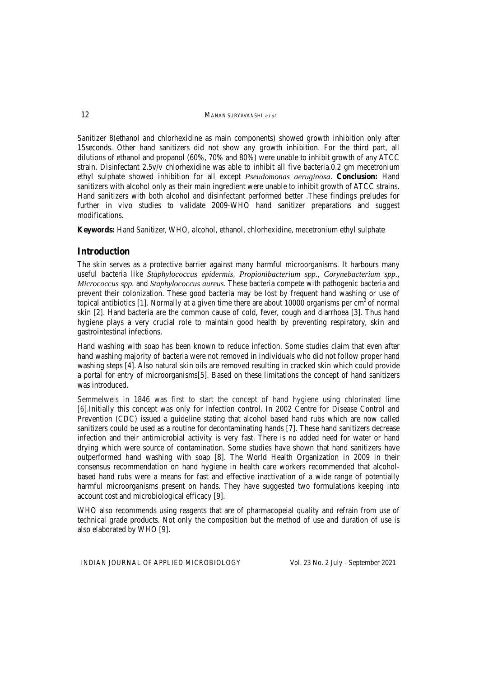Sanitizer 8(ethanol and chlorhexidine as main components) showed growth inhibition only after 15seconds. Other hand sanitizers did not show any growth inhibition. For the third part, all dilutions of ethanol and propanol (60%, 70% and 80%) were unable to inhibit growth of any ATCC strain. Disinfectant 2.5v/v chlorhexidine was able to inhibit all five bacteria.0.2 gm mecetronium ethyl sulphate showed inhibition for all except *Pseudomonas aeruginosa*. **Conclusion:** Hand sanitizers with alcohol only as their main ingredient were unable to inhibit growth of ATCC strains. Hand sanitizers with both alcohol and disinfectant performed better .These findings preludes for further in vivo studies to validate 2009-WHO hand sanitizer preparations and suggest modifications.

**Keywords:** Hand Sanitizer, WHO, alcohol, ethanol, chlorhexidine, mecetronium ethyl sulphate

#### **Introduction**

The skin serves as a protective barrier against many harmful microorganisms. It harbours many useful bacteria like *Staphylococcus epidermis*, *Propionibacterium spp., Corynebacterium spp., Micrococcus spp.* and *Staphylococcus aureus*. These bacteria compete with pathogenic bacteria and prevent their colonization. These good bacteria may be lost by frequent hand washing or use of topical antibiotics [1]. Normally at a given time there are about  $10000$  organisms per cm<sup>2</sup> of normal skin [2]. Hand bacteria are the common cause of cold, fever, cough and diarrhoea [3]. Thus hand hygiene plays a very crucial role to maintain good health by preventing respiratory, skin and gastrointestinal infections.

Hand washing with soap has been known to reduce infection. Some studies claim that even after hand washing majority of bacteria were not removed in individuals who did not follow proper hand washing steps [4]. Also natural skin oils are removed resulting in cracked skin which could provide a portal for entry of microorganisms[5]. Based on these limitations the concept of hand sanitizers was introduced.

Semmelweis in 1846 was first to start the concept of hand hygiene using chlorinated lime [6].Initially this concept was only for infection control. In 2002 Centre for Disease Control and Prevention (CDC) issued a guideline stating that alcohol based hand rubs which are now called sanitizers could be used as a routine for decontaminating hands [7]. These hand sanitizers decrease infection and their antimicrobial activity is very fast. There is no added need for water or hand drying which were source of contamination. Some studies have shown that hand sanitizers have outperformed hand washing with soap [8]. The World Health Organization in 2009 in their consensus recommendation on hand hygiene in health care workers recommended that alcoholbased hand rubs were a means for fast and effective inactivation of a wide range of potentially harmful microorganisms present on hands. They have suggested two formulations keeping into account cost and microbiological efficacy [9].

WHO also recommends using reagents that are of pharmacopeial quality and refrain from use of technical grade products. Not only the composition but the method of use and duration of use is also elaborated by WHO [9].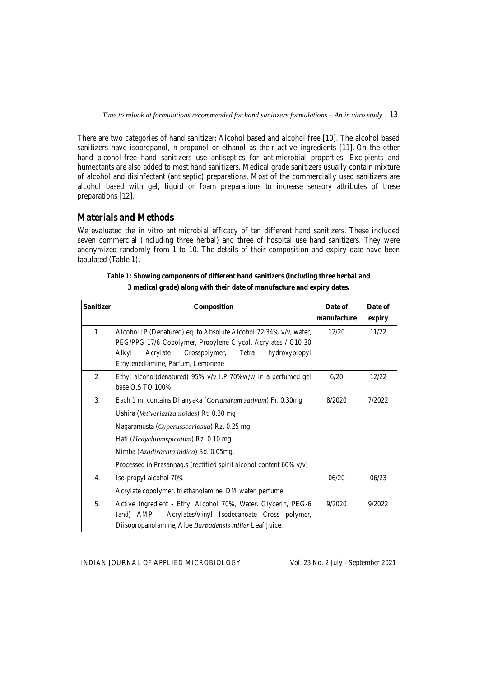There are two categories of hand sanitizer: Alcohol based and alcohol free [10]. The alcohol based sanitizers have isopropanol, n-propanol or ethanol as their active ingredients [11]. On the other hand alcohol-free hand sanitizers use antiseptics for antimicrobial properties. Excipients and humectants are also added to most hand sanitizers. Medical grade sanitizers usually contain mixture of alcohol and disinfectant (antiseptic) preparations. Most of the commercially used sanitizers are alcohol based with gel, liquid or foam preparations to increase sensory attributes of these preparations [12].

### **Materials and Methods**

We evaluated the in vitro antimicrobial efficacy of ten different hand sanitizers. These included seven commercial (including three herbal) and three of hospital use hand sanitizers. They were anonymized randomly from 1 to 10. The details of their composition and expiry date have been tabulated (Table 1).

| <b>Sanitizer</b> | Composition                                                            | Date of     | Date of |
|------------------|------------------------------------------------------------------------|-------------|---------|
|                  |                                                                        | manufacture | expiry  |
| 1.               | Alcohol IP (Denatured) eq. to Absolute Alcohol 72.34% v/v, water,      | 12/20       | 11/22   |
|                  | PEG/PPG-17/6 Copolymer, Propylene Clycol, Acrylates / C10-30           |             |         |
|                  | Alkyl<br>Acrylate<br>Tetra<br>Crosspolymer,<br>hydroxypropyl           |             |         |
|                  | Ethylenediamine, Parfum, Lemonene                                      |             |         |
| 2.               | Ethyl alcohol(denatured) $95\%$ v/v I.P 70%w/w in a perfumed gel       | 6/20        | 12/22   |
|                  | base Q.S TO 100%                                                       |             |         |
| 3.               | Each 1 ml contains Dhanyaka ( <i>Coriandrum sativum</i> ) Fr. 0.30mg   | 8/2020      | 7/2022  |
|                  | Ushira (Vetiveriazizanioides) Rt. 0.30 mg                              |             |         |
|                  | Nagaramusta (Cyperusscariosua) Rz. 0.25 mg                             |             |         |
|                  | Hati ( <i>Hedychiumspicatum</i> ) Rz. 0.10 mg                          |             |         |
|                  | Nimba (Azadirachta indica) Sd. 0.05mg.                                 |             |         |
|                  | Processed in Prasannaq.s (rectified spirit alcohol content $60\%$ v/v) |             |         |
| 4.               | Iso-propyl alcohol 70%                                                 | 06/20       | 06/23   |
|                  | Acrylate copolymer, triethanolamine, DM water, perfume                 |             |         |
| 5.               | Active Ingredient - Ethyl Alcohol 70%, Water, Glycerin, PEG-6          | 9/2020      | 9/2022  |
|                  | (and) AMP - Acrylates/Vinyl Isodecanoate Cross polymer,                |             |         |
|                  | Diisopropanolamine, Aloe Barbadensis miller Leaf Juice.                |             |         |

**Table 1: Showing components of different hand sanitizers (including three herbal and 3 medical grade) along with their date of manufacture and expiry dates.**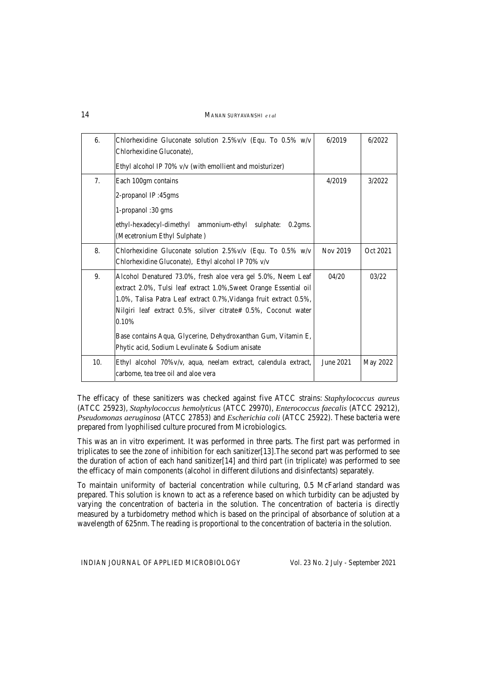14MANAN SURYAVANSHI *e t al*

| 6.  | Chlorhexidine Gluconate solution $2.5\%$ v/v (Equ. To 0.5% w/v<br>Chlorhexidine Gluconate),                                                                                                                                                                                       | 6/2019    | 6/2022   |
|-----|-----------------------------------------------------------------------------------------------------------------------------------------------------------------------------------------------------------------------------------------------------------------------------------|-----------|----------|
|     | Ethyl alcohol IP 70% v/v (with emollient and moisturizer)                                                                                                                                                                                                                         |           |          |
| 7.  | Each 100gm contains                                                                                                                                                                                                                                                               | 4/2019    | 3/2022   |
|     | 2-propanol IP:45gms                                                                                                                                                                                                                                                               |           |          |
|     | 1-propanol: 30 gms                                                                                                                                                                                                                                                                |           |          |
|     | ethyl-hexadecyl-dimethyl ammonium-ethyl sulphate:<br>$0.2$ gms.<br>(Mecetronium Ethyl Sulphate)                                                                                                                                                                                   |           |          |
| 8.  | Chlorhexidine Gluconate solution $2.5\%$ v/v (Equ. To 0.5% w/v<br>Chlorhexidine Gluconate), Ethyl alcohol IP 70% v/v                                                                                                                                                              | Nov 2019  | Oct 2021 |
| 9.  | Alcohol Denatured 73.0%, fresh aloe vera gel 5.0%, Neem Leaf<br>extract 2.0%, Tulsi leaf extract 1.0%, Sweet Orange Essential oil<br>1.0%, Talisa Patra Leaf extract 0.7%, Vidanga fruit extract 0.5%,<br>Nilgiri leaf extract 0.5%, silver citrate# 0.5%, Coconut water<br>0.10% | 04/20     | 03/22    |
|     | Base contains Aqua, Glycerine, Dehydroxanthan Gum, Vitamin E,<br>Phytic acid, Sodium Levulinate & Sodium anisate                                                                                                                                                                  |           |          |
| 10. | Ethyl alcohol 70% v/v, aqua, neelam extract, calendula extract,<br>carbome, tea tree oil and aloe vera                                                                                                                                                                            | June 2021 | May 2022 |

The efficacy of these sanitizers was checked against five ATCC strains: *Staphylococcus aureus* (ATCC 25923), *Staphylococcus hemolyticus* (ATCC 29970), *Enterococcus faecalis* (ATCC 29212), *Pseudomonas aeruginosa* (ATCC 27853) and *Escherichia coli* (ATCC 25922). These bacteria were prepared from lyophilised culture procured from Microbiologics.

This was an in vitro experiment. It was performed in three parts. The first part was performed in triplicates to see the zone of inhibition for each sanitizer[13].The second part was performed to see the duration of action of each hand sanitizer[14] and third part (in triplicate) was performed to see the efficacy of main components (alcohol in different dilutions and disinfectants) separately.

To maintain uniformity of bacterial concentration while culturing, 0.5 McFarland standard was prepared. This solution is known to act as a reference based on which turbidity can be adjusted by varying the concentration of bacteria in the solution. The concentration of bacteria is directly measured by a turbidometry method which is based on the principal of absorbance of solution at a wavelength of 625nm. The reading is proportional to the concentration of bacteria in the solution.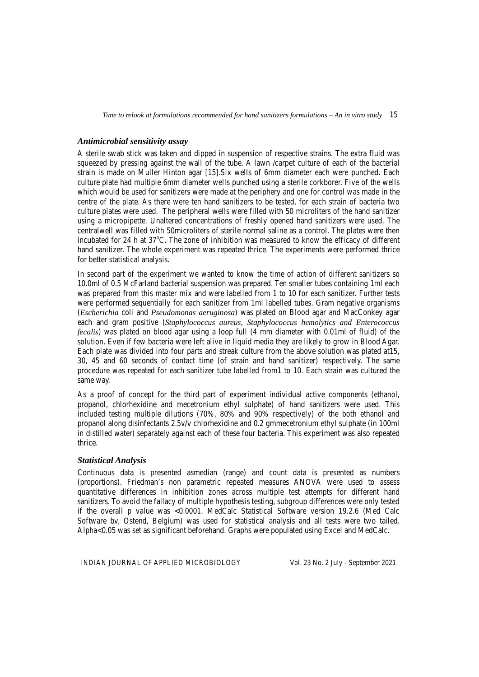#### *Antimicrobial sensitivity assay*

A sterile swab stick was taken and dipped in suspension of respective strains. The extra fluid was squeezed by pressing against the wall of the tube. A lawn /carpet culture of each of the bacterial strain is made on Muller Hinton agar [15].Six wells of 6mm diameter each were punched. Each culture plate had multiple 6mm diameter wells punched using a sterile corkborer. Five of the wells which would be used for sanitizers were made at the periphery and one for control was made in the centre of the plate. As there were ten hand sanitizers to be tested, for each strain of bacteria two culture plates were used. The peripheral wells were filled with 50 microliters of the hand sanitizer using a micropipette. Unaltered concentrations of freshly opened hand sanitizers were used. The centralwell was filled with 50microliters of sterile normal saline as a control. The plates were then incubated for 24 h at 37°C. The zone of inhibition was measured to know the efficacy of different hand sanitizer. The whole experiment was repeated thrice. The experiments were performed thrice for better statistical analysis.

In second part of the experiment we wanted to know the time of action of different sanitizers so 10.0ml of 0.5 McFarland bacterial suspension was prepared. Ten smaller tubes containing 1ml each was prepared from this master mix and were labelled from 1 to 10 for each sanitizer. Further tests were performed sequentially for each sanitizer from 1ml labelled tubes. Gram negative organisms (*Escherichia* coli and *Pseudomonas aeruginosa*) was plated on Blood agar and MacConkey agar each and gram positive (*Staphylococcus aureus, Staphylococcus hemolytics and Enterococcus fecalis*) was plated on blood agar using a loop full (4 mm diameter with 0.01ml of fluid) of the solution. Even if few bacteria were left alive in liquid media they are likely to grow in Blood Agar. Each plate was divided into four parts and streak culture from the above solution was plated at15, 30, 45 and 60 seconds of contact time (of strain and hand sanitizer) respectively. The same procedure was repeated for each sanitizer tube labelled from1 to 10. Each strain was cultured the same way.

As a proof of concept for the third part of experiment individual active components (ethanol, propanol, chlorhexidine and mecetronium ethyl sulphate) of hand sanitizers were used. This included testing multiple dilutions (70%, 80% and 90% respectively) of the both ethanol and propanol along disinfectants 2.5v/v chlorhexidine and 0.2 gmmecetronium ethyl sulphate (in 100ml in distilled water) separately against each of these four bacteria. This experiment was also repeated thrice.

### *Statistical Analysis*

Continuous data is presented asmedian (range) and count data is presented as numbers (proportions). Friedman's non parametric repeated measures ANOVA were used to assess quantitative differences in inhibition zones across multiple test attempts for different hand sanitizers. To avoid the fallacy of multiple hypothesis testing, subgroup differences were only tested if the overall p value was <0.0001. MedCalc Statistical Software version 19.2.6 (Med Calc Software bv, Ostend, Belgium) was used for statistical analysis and all tests were two tailed. Alpha<0.05 was set as significant beforehand. Graphs were populated using Excel and MedCalc.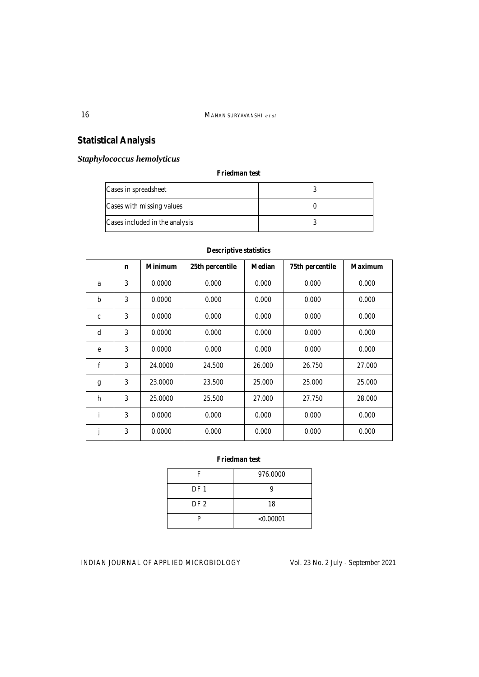# **Statistical Analysis**

# *Staphylococcus hemolyticus*

### **Friedman test**

| Cases in spreadsheet           |  |
|--------------------------------|--|
| Cases with missing values      |  |
| Cases included in the analysis |  |

|              | $\mathbf n$ | <b>Minimum</b> | 25th percentile | <b>Median</b> | 75th percentile | <b>Maximum</b> |
|--------------|-------------|----------------|-----------------|---------------|-----------------|----------------|
| a            | 3           | 0.0000         | 0.000           | 0.000         | 0.000           | 0.000          |
| $\mathbf b$  | 3           | 0.0000         | 0.000           | 0.000         | 0.000           | 0.000          |
| $\mathbf{c}$ | 3           | 0.0000         | 0.000           | 0.000         | 0.000           | 0.000          |
| d            | 3           | 0.0000         | 0.000           | 0.000         | 0.000           | 0.000          |
| e            | 3           | 0.0000         | 0.000           | 0.000         | 0.000           | 0.000          |
| $\mathbf f$  | 3           | 24.0000        | 24.500          | 26.000        | 26.750          | 27.000         |
| g            | 3           | 23,0000        | 23.500          | 25.000        | 25,000          | 25.000         |
| h            | 3           | 25,0000        | 25.500          | 27.000        | 27.750          | 28.000         |
| $\mathbf{i}$ | 3           | 0.0000         | 0.000           | 0.000         | 0.000           | 0.000          |
| J            | 3           | 0.0000         | 0.000           | 0.000         | 0.000           | 0.000          |

### **Descriptive statistics**

### **Friedman test**

| F               | 976.0000  |
|-----------------|-----------|
| DF <sub>1</sub> |           |
| DF <sub>2</sub> | 18        |
|                 | < 0.00001 |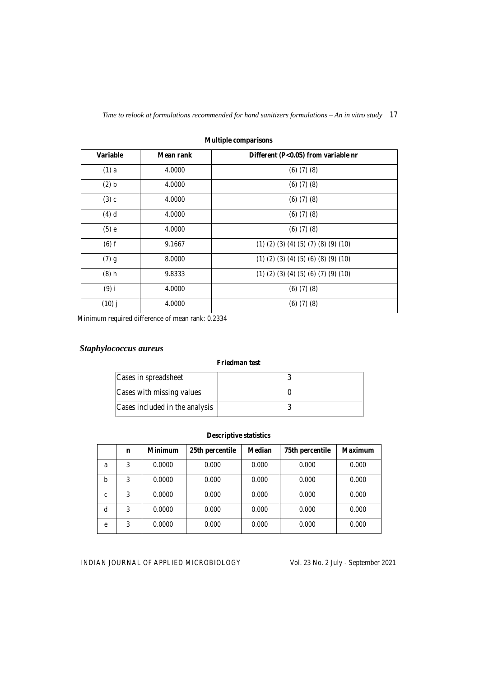| <b>Variable</b> | <b>Mean rank</b> | Different (P<0.05) from variable nr                    |
|-----------------|------------------|--------------------------------------------------------|
| $(1)$ a         | 4.0000           | $(6)$ $(7)$ $(8)$                                      |
| (2) b           | 4.0000           | $(6)$ $(7)$ $(8)$                                      |
| $(3)$ c         | 4.0000           | $(6)$ $(7)$ $(8)$                                      |
| $(4)$ d         | 4.0000           | $(6)$ $(7)$ $(8)$                                      |
| $(5)$ e         | 4.0000           | $(6)$ $(7)$ $(8)$                                      |
| $(6)$ f         | 9.1667           | $(1)$ $(2)$ $(3)$ $(4)$ $(5)$ $(7)$ $(8)$ $(9)$ $(10)$ |
| $(7)$ g         | 8.0000           | $(1)$ $(2)$ $(3)$ $(4)$ $(5)$ $(6)$ $(8)$ $(9)$ $(10)$ |
| $(8)$ h         | 9.8333           | $(1)$ $(2)$ $(3)$ $(4)$ $(5)$ $(6)$ $(7)$ $(9)$ $(10)$ |
| $(9)$ i         | 4.0000           | $(6)$ $(7)$ $(8)$                                      |
| $(10)$ j        | 4.0000           | $(6)$ $(7)$ $(8)$                                      |

**Multiple comparisons** 

Minimum required difference of mean rank: 0.2334

# *Staphylococcus aureus*

#### **Friedman test**

| Cases in spreadsheet           |  |
|--------------------------------|--|
| Cases with missing values      |  |
| Cases included in the analysis |  |

### **Descriptive statistics**

|             | n | <b>Minimum</b> | 25th percentile | <b>Median</b> | 75th percentile | <b>Maximum</b> |
|-------------|---|----------------|-----------------|---------------|-----------------|----------------|
| a           | 3 | 0.0000         | 0.000           | 0.000         | 0.000           | 0.000          |
| b           | 3 | 0.0000         | 0.000           | 0.000         | 0.000           | 0.000          |
| $\mathbf c$ | 3 | 0.0000         | 0.000           | 0.000         | 0.000           | 0.000          |
| d           | 3 | 0.0000         | 0.000           | 0.000         | 0.000           | 0.000          |
| e           | 3 | 0.0000         | 0.000           | 0.000         | 0.000           | 0.000          |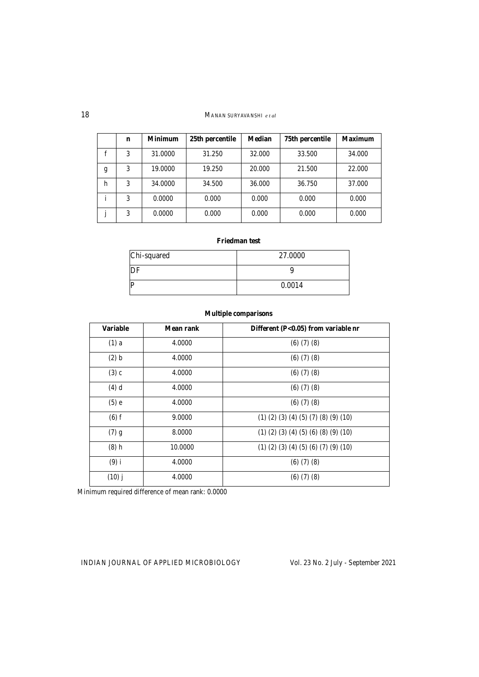|   | n | <b>Minimum</b> | 25th percentile | <b>Median</b> | 75th percentile | <b>Maximum</b> |
|---|---|----------------|-----------------|---------------|-----------------|----------------|
|   | 3 | 31.0000        | 31.250          | 32.000        | 33.500          | 34.000         |
| g | 3 | 19.0000        | 19.250          | 20.000        | 21.500          | 22,000         |
| h | 3 | 34,0000        | 34.500          | 36.000        | 36.750          | 37.000         |
|   | 3 | 0.0000         | 0.000           | 0.000         | 0.000           | 0.000          |
|   | 3 | 0.0000         | 0.000           | 0.000         | 0.000           | 0.000          |

### **Friedman test**

| Chi-squared | 27.0000 |
|-------------|---------|
| DF          |         |
| P           | 0.0014  |

### **Multiple comparisons**

| <b>Variable</b> | Mean rank | Different (P<0.05) from variable nr                    |
|-----------------|-----------|--------------------------------------------------------|
| $(1)$ a         | 4.0000    | $(6)$ $(7)$ $(8)$                                      |
| (2) b           | 4.0000    | $(6)$ $(7)$ $(8)$                                      |
| $(3)$ c         | 4.0000    | $(6)$ $(7)$ $(8)$                                      |
| $(4)$ d         | 4.0000    | $(6)$ $(7)$ $(8)$                                      |
| $(5)$ e         | 4.0000    | $(6)$ $(7)$ $(8)$                                      |
| $(6)$ f         | 9.0000    | $(1)$ $(2)$ $(3)$ $(4)$ $(5)$ $(7)$ $(8)$ $(9)$ $(10)$ |
| $(7)$ g         | 8.0000    | $(1)$ $(2)$ $(3)$ $(4)$ $(5)$ $(6)$ $(8)$ $(9)$ $(10)$ |
| $(8)$ h         | 10.0000   | $(1)$ $(2)$ $(3)$ $(4)$ $(5)$ $(6)$ $(7)$ $(9)$ $(10)$ |
| $(9)$ i         | 4.0000    | $(6)$ $(7)$ $(8)$                                      |
| $(10)$ j        | 4.0000    | $(6)$ $(7)$ $(8)$                                      |

Minimum required difference of mean rank: 0.0000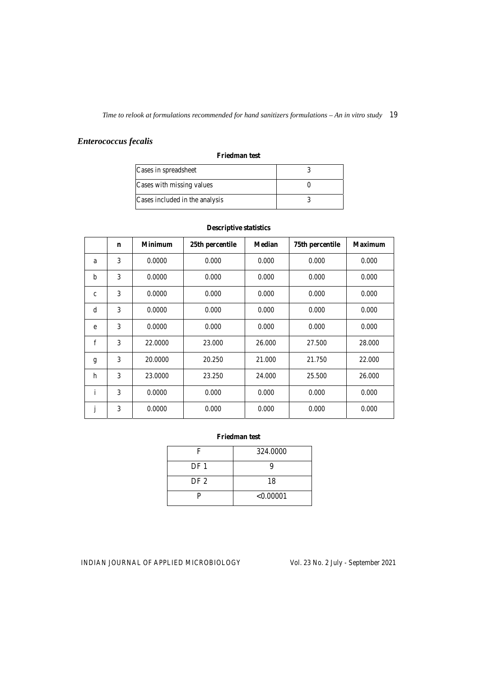# *Enterococcus fecalis*

#### **Friedman test**

| Cases in spreadsheet           |  |
|--------------------------------|--|
| Cases with missing values      |  |
| Cases included in the analysis |  |

|              | $\mathbf n$ | <b>Minimum</b> | 25th percentile | <b>Median</b> | 75th percentile | <b>Maximum</b> |
|--------------|-------------|----------------|-----------------|---------------|-----------------|----------------|
| a            | 3           | 0.0000         | 0.000           | 0.000         | 0.000           | 0.000          |
| b            | 3           | 0.0000         | 0.000           | 0.000         | 0.000           | 0.000          |
| $\mathbf{C}$ | 3           | 0.0000         | 0.000           | 0.000         | 0.000           | 0.000          |
| d            | 3           | 0.0000         | 0.000           | 0.000         | 0.000           | 0.000          |
| e            | 3           | 0.0000         | 0.000           | 0.000         | 0.000           | 0.000          |
| $\mathbf{f}$ | 3           | 22,0000        | 23,000          | 26.000        | 27.500          | 28,000         |
| g            | 3           | 20,0000        | 20.250          | 21.000        | 21.750          | 22.000         |
| h            | 3           | 23,0000        | 23.250          | 24.000        | 25.500          | 26.000         |
| $\mathbf{i}$ | 3           | 0.0000         | 0.000           | 0.000         | 0.000           | 0.000          |
| j            | 3           | 0.0000         | 0.000           | 0.000         | 0.000           | 0.000          |

### **Descriptive statistics**

### **Friedman test**

| F               | 324.0000  |
|-----------------|-----------|
| DF <sub>1</sub> |           |
| DF <sub>2</sub> | 18        |
|                 | < 0.00001 |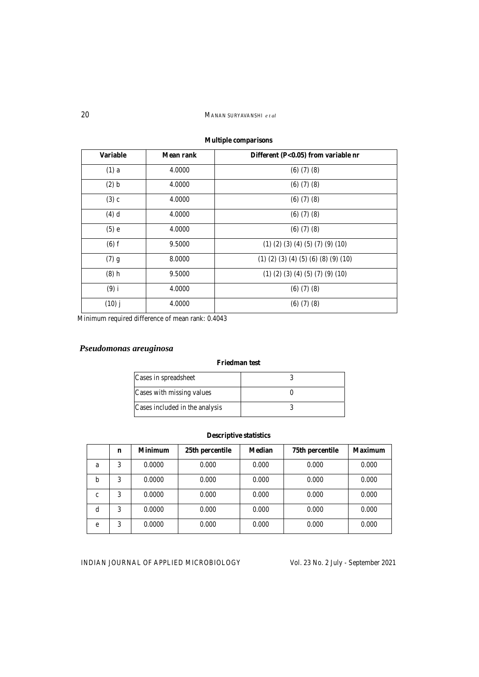# **Multiple comparisons**  Variable Mean rank Different (P<0.05) from variable nr (1) a 4.0000 (6) (7) (8) (2) b 4.0000 (6) (7) (8) (3) c 4.0000 (6) (7) (8) (4) d 4.0000 (6) (7) (8) (5) e 4.0000 (6) (7) (8) (6) f 9.5000 (1) (2) (3) (4) (5) (7) (9) (10) (7) g 8.0000 (1) (2) (3) (4) (5) (6) (8) (9) (10) (8) h 9.5000 (1) (2) (3) (4) (5) (7) (9) (10) (9) i 4.0000 (6) (7) (8) (10) j 4.0000 (6) (7) (8)

Minimum required difference of mean rank: 0.4043

# *Pseudomonas areuginosa*

### **Friedman test**

| Cases in spreadsheet           |  |
|--------------------------------|--|
| Cases with missing values      |  |
| Cases included in the analysis |  |

### **Descriptive statistics**

|   | n | <b>Minimum</b> | 25th percentile | <b>Median</b> | 75th percentile | <b>Maximum</b> |
|---|---|----------------|-----------------|---------------|-----------------|----------------|
| a | 3 | 0.0000         | 0.000           | 0.000         | 0.000           | 0.000          |
| b | 3 | 0.0000         | 0.000           | 0.000         | 0.000           | 0.000          |
| c | 3 | 0.0000         | 0.000           | 0.000         | 0.000           | 0.000          |
| d | 3 | 0.0000         | 0.000           | 0.000         | 0.000           | 0.000          |
| e | 3 | 0.0000         | 0.000           | 0.000         | 0.000           | 0.000          |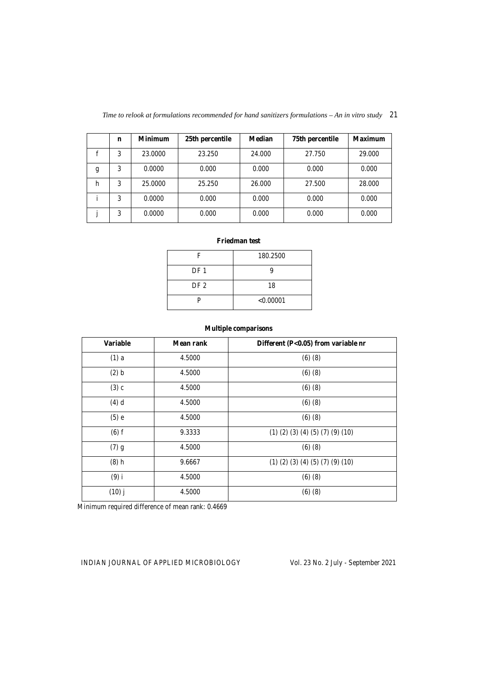| Time to relook at formulations recommended for hand sanitizers formulations $-An$ in vitro study 21 |  |  |
|-----------------------------------------------------------------------------------------------------|--|--|
|                                                                                                     |  |  |

|   | n | <b>Minimum</b> | 25th percentile | <b>Median</b> | 75th percentile | <b>Maximum</b> |
|---|---|----------------|-----------------|---------------|-----------------|----------------|
|   | 3 | 23,0000        | 23.250          | 24.000        | 27.750          | 29.000         |
| g | 3 | 0.0000         | 0.000           | 0.000         | 0.000           | 0.000          |
| h | 3 | 25,0000        | 25.250          | 26,000        | 27.500          | 28,000         |
|   | 3 | 0.0000         | 0.000           | 0.000         | 0.000           | 0.000          |
|   | 3 | 0.0000         | 0.000           | 0.000         | 0.000           | 0.000          |

### **Friedman test**

| F               | 180.2500  |
|-----------------|-----------|
| DF <sub>1</sub> |           |
| DF <sub>2</sub> | 18        |
| P               | < 0.00001 |

## **Multiple comparisons**

| <b>Variable</b> | <b>Mean rank</b> | Different (P<0.05) from variable nr              |
|-----------------|------------------|--------------------------------------------------|
| $(1)$ a         | 4.5000           | (6)(8)                                           |
| (2) b           | 4.5000           | (6)(8)                                           |
| $(3)$ c         | 4.5000           | (6)(8)                                           |
| $(4)$ d         | 4.5000           | (6)(8)                                           |
| $(5)$ e         | 4.5000           | (6)(8)                                           |
| $(6)$ f         | 9.3333           | $(1)$ $(2)$ $(3)$ $(4)$ $(5)$ $(7)$ $(9)$ $(10)$ |
| $(7)$ g         | 4.5000           | (6)(8)                                           |
| $(8)$ h         | 9.6667           | $(1)$ $(2)$ $(3)$ $(4)$ $(5)$ $(7)$ $(9)$ $(10)$ |
| $(9)$ i         | 4.5000           | (6)(8)                                           |
| $(10)$ j        | 4.5000           | (6)(8)                                           |

Minimum required difference of mean rank: 0.4669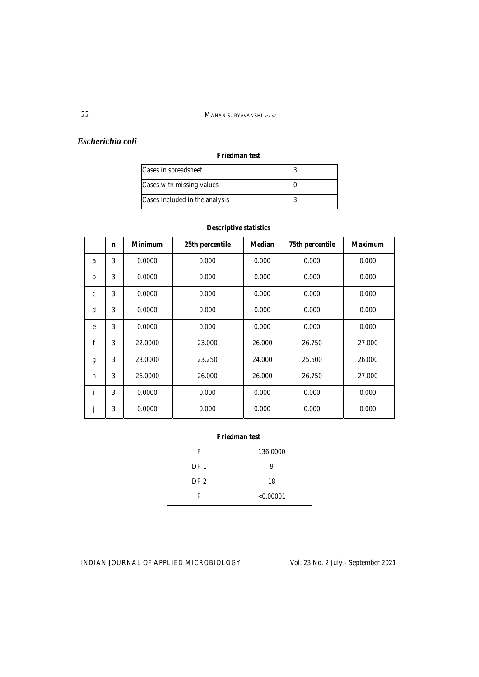## *Escherichia coli*

### **Friedman test**

| Cases in spreadsheet           |  |
|--------------------------------|--|
| Cases with missing values      |  |
| Cases included in the analysis |  |

|             | $\mathbf n$ | <b>Minimum</b> | 25th percentile | <b>Median</b> | 75th percentile | <b>Maximum</b> |
|-------------|-------------|----------------|-----------------|---------------|-----------------|----------------|
| a           | 3           | 0.0000         | 0.000           | 0.000         | 0.000           | 0.000          |
| $\mathbf b$ | 3           | 0.0000         | 0.000           | 0.000         | 0.000           | 0.000          |
| $\mathbf c$ | 3           | 0.0000         | 0.000           | 0.000         | 0.000           | 0.000          |
| d           | 3           | 0.0000         | 0.000           | 0.000         | 0.000           | 0.000          |
| e           | 3           | 0.0000         | 0.000           | 0.000         | 0.000           | 0.000          |
| f           | 3           | 22.0000        | 23,000          | 26.000        | 26.750          | 27.000         |
| g           | 3           | 23.0000        | 23.250          | 24.000        | 25.500          | 26.000         |
| h           | 3           | 26.0000        | 26.000          | 26.000        | 26.750          | 27.000         |
| i           | 3           | 0.0000         | 0.000           | 0.000         | 0.000           | 0.000          |
|             | 3           | 0.0000         | 0.000           | 0.000         | 0.000           | 0.000          |

### **Descriptive statistics**

## **Friedman test**

| F               | 136.0000  |
|-----------------|-----------|
| DF <sub>1</sub> |           |
| DF <sub>2</sub> | 18        |
|                 | < 0.00001 |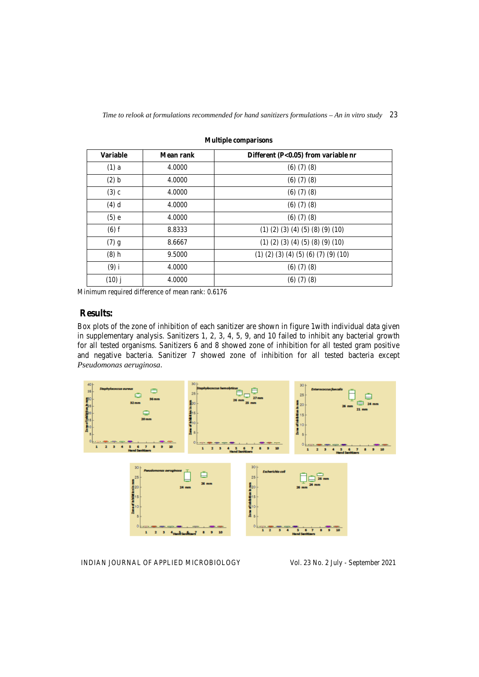| <b>Variable</b> | Mean rank | Different (P<0.05) from variable nr                    |
|-----------------|-----------|--------------------------------------------------------|
| $(1)$ a         | 4.0000    | $(6)$ $(7)$ $(8)$                                      |
| (2) b           | 4.0000    | $(6)$ $(7)$ $(8)$                                      |
| $(3)$ c         | 4.0000    | (6)(7)(8)                                              |
| $(4)$ d         | 4.0000    | $(6)$ $(7)$ $(8)$                                      |
| $(5)$ e         | 4.0000    | $(6)$ $(7)$ $(8)$                                      |
| $(6)$ f         | 8.8333    | $(1)$ $(2)$ $(3)$ $(4)$ $(5)$ $(8)$ $(9)$ $(10)$       |
| $(7)$ g         | 8.6667    | $(1)$ $(2)$ $(3)$ $(4)$ $(5)$ $(8)$ $(9)$ $(10)$       |
| $(8)$ h         | 9.5000    | $(1)$ $(2)$ $(3)$ $(4)$ $(5)$ $(6)$ $(7)$ $(9)$ $(10)$ |
| $(9)$ i         | 4.0000    | $(6)$ $(7)$ $(8)$                                      |
| $(10)$ j        | 4.0000    | $(6)$ $(7)$ $(8)$                                      |

**Multiple comparisons** 

Minimum required difference of mean rank: 0.6176

## **Results:**

Box plots of the zone of inhibition of each sanitizer are shown in figure 1with individual data given in supplementary analysis. Sanitizers 1, 2, 3, 4, 5, 9, and 10 failed to inhibit any bacterial growth for all tested organisms. Sanitizers 6 and 8 showed zone of inhibition for all tested gram positive and negative bacteria. Sanitizer 7 showed zone of inhibition for all tested bacteria except *Pseudomonas aeruginosa*.

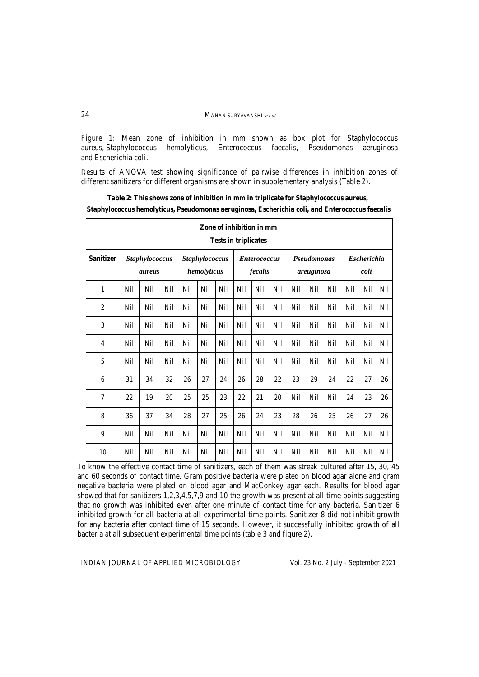Figure 1: Mean zone of inhibition in mm shown as box plot for Staphylococcus aureus, Staphylococcus hemolyticus, Enterococcus faecalis, Pseudomonas aeruginosa and Escherichia coli.

Results of ANOVA test showing significance of pairwise differences in inhibition zones of different sanitizers for different organisms are shown in supplementary analysis (Table 2).

| Zone of inhibition in mm<br><b>Tests in triplicates</b> |                          |            |     |                               |     |     |     |                                |     |     |                                  |     |                            |     |     |
|---------------------------------------------------------|--------------------------|------------|-----|-------------------------------|-----|-----|-----|--------------------------------|-----|-----|----------------------------------|-----|----------------------------|-----|-----|
| <b>Sanitizer</b>                                        | Staphylococcus<br>aureus |            |     | Staphylococcus<br>hemolyticus |     |     |     | <b>Enterococcus</b><br>fecalis |     |     | <b>Pseudomonas</b><br>areuginosa |     | <b>Escherichia</b><br>coli |     |     |
| 1                                                       | Nil                      | Nil        | Nil | Nil                           | Nil | Nil | Nil | Nil                            | Nil | Nil | Nil                              | Nil | Nil                        | Nil | Nil |
| $\overline{c}$                                          | Nil                      | Nil        | Nil | Nil                           | Nil | Nil | Nil | Nil                            | Nil | Nil | Nil                              | Nil | Nil                        | Nil | Nil |
| 3                                                       | Nil                      | Nil        | Nil | Nil                           | Nil | Nil | Nil | Nil                            | Nil | Nil | Nil                              | Nil | Nil                        | Nil | Nil |
| $\overline{4}$                                          | Nil                      | Nil        | Nil | Nil                           | Nil | Nil | Nil | Nil                            | Nil | Nil | Nil                              | Nil | Nil                        | Nil | Nil |
| 5                                                       | Nil                      | <b>Nil</b> | Nil | Nil                           | Nil | Nil | Nil | Nil                            | Nil | Nil | <b>Nil</b>                       | Nil | <b>Nil</b>                 | Nil | Nil |
| 6                                                       | 31                       | 34         | 32  | 26                            | 27  | 24  | 26  | 28                             | 22  | 23  | 29                               | 24  | 22                         | 27  | 26  |
| 7                                                       | 22                       | 19         | 20  | 25                            | 25  | 23  | 22  | 21                             | 20  | Nil | Nil                              | Nil | 24                         | 23  | 26  |
| 8                                                       | 36                       | 37         | 34  | 28                            | 27  | 25  | 26  | 24                             | 23  | 28  | 26                               | 25  | 26                         | 27  | 26  |
| 9                                                       | Nil                      | Nil        | Nil | Nil                           | Nil | Nil | Nil | Nil                            | Nil | Nil | Nil                              | Nil | Nil                        | Nil | Nil |
| 10                                                      | Nil                      | Nil        | Nil | Nil                           | Nil | Nil | Nil | Nil                            | Nil | Nil | Nil                              | Nil | Nil                        | Nil | Nil |

**Table 2: This shows zone of inhibition in mm in triplicate for Staphylococcus aureus, Staphylococcus hemolyticus, Pseudomonas aeruginosa, Escherichia coli, and Enterococcus faecalis** 

To know the effective contact time of sanitizers, each of them was streak cultured after 15, 30, 45 and 60 seconds of contact time. Gram positive bacteria were plated on blood agar alone and gram negative bacteria were plated on blood agar and MacConkey agar each. Results for blood agar showed that for sanitizers 1,2,3,4,5,7,9 and 10 the growth was present at all time points suggesting that no growth was inhibited even after one minute of contact time for any bacteria. Sanitizer 6 inhibited growth for all bacteria at all experimental time points. Sanitizer 8 did not inhibit growth for any bacteria after contact time of 15 seconds. However, it successfully inhibited growth of all bacteria at all subsequent experimental time points (table 3 and figure 2).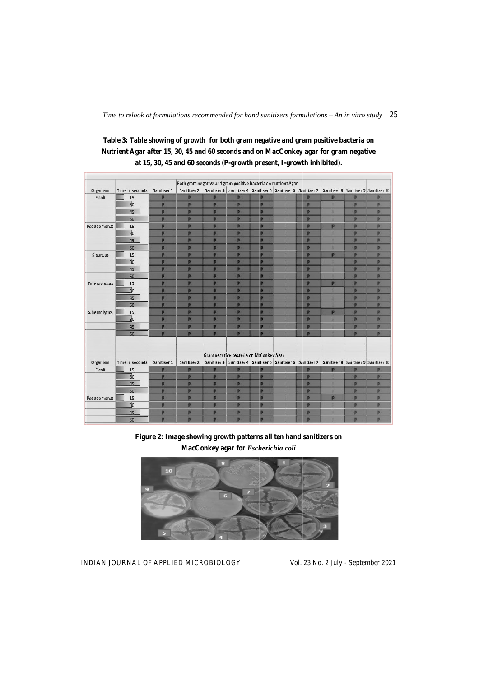|                     |                 |             | Both gram negative and gram positive bacteria on nutrient Agar |   |                                         |   |                                                      |                                                                     |   |   |                                      |
|---------------------|-----------------|-------------|----------------------------------------------------------------|---|-----------------------------------------|---|------------------------------------------------------|---------------------------------------------------------------------|---|---|--------------------------------------|
| Organism            | Time in seconds | Sanitiser 1 | Sanitiser 2                                                    |   |                                         |   |                                                      | Sanitiser 3   Sanitiser 4   Sanitiser 5   Sanitiser 6   Sanitiser 7 |   |   | Sanitiser 8 Sanitiser 9 Sanitiser 10 |
| E.coli              | 15              | Þ           | Ð                                                              |   | Þ                                       | Ð |                                                      | Þ                                                                   | Þ | Ð | Þ                                    |
|                     | 30              | P           | P                                                              | D | P                                       | P |                                                      | P                                                                   |   | P | P                                    |
|                     | 45              | P           | Þ                                                              | Þ | Þ                                       | p |                                                      | P                                                                   |   | p | P                                    |
|                     | 60              | <b>D</b>    |                                                                | Ð | Þ                                       | Þ |                                                      | Þ                                                                   |   | n | b                                    |
| Pseudomonas         | 15              | D           | ъ                                                              | Ð | Þ                                       | D |                                                      | P                                                                   |   | p | P                                    |
|                     | $\overline{3}0$ |             |                                                                |   | Þ                                       |   |                                                      | Þ                                                                   |   | Ð | B                                    |
|                     | 45              | P           | в                                                              | в | Þ                                       | P |                                                      | P                                                                   |   | P | Þ                                    |
|                     | 60              | P           | в                                                              | в | Þ                                       | n |                                                      | P                                                                   |   | Þ | p                                    |
| S.aureus            | 15              | Þ           |                                                                |   | Þ                                       | Þ |                                                      | Þ                                                                   | n | Ð | Þ                                    |
|                     | $\overline{30}$ | D           | D                                                              | в | Þ                                       | p |                                                      | P                                                                   |   | Ð | Þ                                    |
|                     | 45              | ø           |                                                                |   | B                                       | в |                                                      | Þ                                                                   |   |   | в                                    |
|                     | 60              | P           | P                                                              | в | Þ                                       | P |                                                      | Þ                                                                   |   | p | p                                    |
| <b>Enterococcus</b> | 15              |             |                                                                |   | Þ                                       | Ð |                                                      | Þ                                                                   |   | ø | Þ                                    |
|                     | $\overline{3}0$ | Ð           |                                                                |   | Þ                                       | Þ |                                                      | Þ                                                                   |   | Ð |                                      |
|                     | 45              | D           | P                                                              | Đ | P                                       | P |                                                      | P                                                                   |   | D | P                                    |
|                     | 60              | в           |                                                                |   | Þ                                       | Ð |                                                      | Þ                                                                   |   |   | Ð                                    |
| S.hemolytics        | 15              | P           | P                                                              | Þ | Þ                                       | P |                                                      | Þ                                                                   | D | P | P                                    |
|                     | $\overline{30}$ | Þ           |                                                                | Ð | Þ                                       | Þ |                                                      | Þ                                                                   |   | Þ | Þ                                    |
|                     | 45              | Ð           |                                                                |   | Þ                                       | Þ |                                                      | Þ                                                                   |   | Þ |                                      |
|                     | 60              | D           | D                                                              | D | Þ                                       |   |                                                      | P                                                                   |   | Þ | D                                    |
|                     |                 |             |                                                                |   | Gram negative bacteria on McConkey Agar |   |                                                      |                                                                     |   |   |                                      |
| Organism            | Time in seconds | Sanitiser 1 | Sanitiser 2                                                    |   |                                         |   | Sanitiser 3   Sanitiser 4   Santiser 5   Sanitiser 6 | Sanitiser 7                                                         |   |   | Sanitiser 8 Sanitiser 9 Sanitiser 10 |
| E.coli              | 15              | P           | Þ                                                              | D | P                                       | D |                                                      | P                                                                   | D | D | P                                    |
|                     | $\overline{30}$ | в           |                                                                | ы | Þ                                       | B |                                                      | Þ                                                                   |   | Ð | Þ                                    |
|                     | 45              | P           | Þ                                                              | D | P                                       | P |                                                      | P                                                                   |   | P | P                                    |
|                     | 60              | Þ           |                                                                | в | Þ                                       | Ð |                                                      | Þ                                                                   |   | Þ | Þ                                    |
| Pseudomonas         | 15              | P           | Þ                                                              | Ð | P                                       | P |                                                      | Þ                                                                   | Þ | P | P                                    |
|                     | $\overline{30}$ | Þ           |                                                                | Ð | Þ                                       | Þ |                                                      | Þ                                                                   |   | Þ | D.                                   |
|                     | 45              | b           |                                                                |   |                                         |   |                                                      | Þ                                                                   |   | b |                                      |
|                     | 60              |             |                                                                |   |                                         |   |                                                      |                                                                     |   |   |                                      |

Table 3: Table showing of growth for both gram negative and gram positive bacteria on **Nutrient Agar after 15, 30, 45 and 60 seconds and o n MacConkey agar for gram m negative**  at 15, 30, 45 and 60 seconds (P-growth present, I-growth inhibited).

Figure 2: Image showing growth patterns all ten hand sanitizers on **MacConkey y agar for** *Esch herichia coli*



INDIAN JOURNAL OF APPLIED MICROBIOLOGY

Vol. 23 No. 2 July - September 2021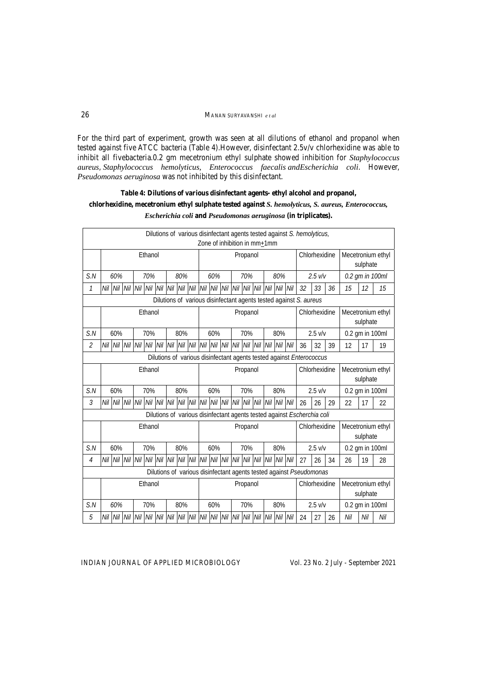#### 26MANAN SURYAVANSHI *e t al*

For the third part of experiment, growth was seen at all dilutions of ethanol and propanol when tested against five ATCC bacteria (Table 4).However, disinfectant 2.5v/v chlorhexidine was able to inhibit all fivebacteria.0.2 gm mecetronium ethyl sulphate showed inhibition for *Staphylococcus aureus*, *Staphylococcus hemolyticus, Enterococcus faecalis andEscherichia coli*. However, *Pseudomonas aeruginosa* was not inhibited by this disinfectant.

## **Table 4: Dilutions of various disinfectant agents- ethyl alcohol and propanol, chlorhexidine, mecetronium ethyl sulphate tested against** *S. hemolyticus, S. aureus, Enterococcus, Escherichia coli* **and** *Pseudomonas aeruginosa* **(in triplicates).**

|                                                                   | Dilutions of various disinfectant agents tested against S. hemolyticus,<br>Zone of inhibition in mm+1mm |                        |                                                                                                           |     |                                      |            |                   |          |          |         |                 |          |     |             |           |               |                                                                         |                 |                   |                   |                 |     |  |
|-------------------------------------------------------------------|---------------------------------------------------------------------------------------------------------|------------------------|-----------------------------------------------------------------------------------------------------------|-----|--------------------------------------|------------|-------------------|----------|----------|---------|-----------------|----------|-----|-------------|-----------|---------------|-------------------------------------------------------------------------|-----------------|-------------------|-------------------|-----------------|-----|--|
|                                                                   | Ethanol                                                                                                 |                        |                                                                                                           |     |                                      |            |                   |          | Propanol |         |                 |          |     |             |           |               | Chlorhexidine                                                           |                 |                   | Mecetronium ethyl |                 |     |  |
|                                                                   |                                                                                                         |                        |                                                                                                           |     |                                      |            |                   |          |          |         |                 |          |     | sulphate    |           |               |                                                                         |                 |                   |                   |                 |     |  |
| S.N                                                               | 60%<br>80%<br>70%                                                                                       |                        |                                                                                                           |     |                                      | 60%<br>70% |                   |          |          |         | 80%             |          |     | $2.5$ $V/V$ |           |               | 0.2 gm in 100ml                                                         |                 |                   |                   |                 |     |  |
| 1                                                                 | Nil Nil Nil Nil Nil<br>Nil<br>Nil Nil Nil Nil Nil<br>Nil                                                |                        |                                                                                                           |     |                                      |            | Nil Nil Nil       |          | Nil      | Nil Nil |                 | 32       | 33  | 36          | 15        | 12            | 15                                                                      |                 |                   |                   |                 |     |  |
| Dilutions of various disinfectant agents tested against S. aureus |                                                                                                         |                        |                                                                                                           |     |                                      |            |                   |          |          |         |                 |          |     |             |           |               |                                                                         |                 |                   |                   |                 |     |  |
|                                                                   | Ethanol                                                                                                 |                        |                                                                                                           |     |                                      |            |                   |          |          |         |                 | Propanol |     |             |           |               |                                                                         | Chlorhexidine   |                   | Mecetronium ethyl |                 |     |  |
|                                                                   |                                                                                                         |                        |                                                                                                           |     |                                      |            |                   |          |          |         |                 |          |     |             |           |               |                                                                         |                 |                   | sulphate          |                 |     |  |
| S.N                                                               | 60%<br>70%<br>80%                                                                                       |                        |                                                                                                           |     |                                      |            | 60%<br>70%        |          |          |         |                 |          | 80% |             | $2.5$ v/v |               |                                                                         | 0.2 gm in 100ml |                   |                   |                 |     |  |
| $\overline{2}$                                                    | Nil Nil Nil Nil Nil<br>Nil Nil Nil Nil Nil<br>Nil                                                       |                        |                                                                                                           |     | Nil Nil Nil<br>Nil<br>Nil<br>Nil Nil |            |                   |          |          |         |                 |          | 36  | 32          | 39        | 12            | 17                                                                      | 19              |                   |                   |                 |     |  |
|                                                                   |                                                                                                         |                        |                                                                                                           |     |                                      |            |                   |          |          |         |                 |          |     |             |           |               | Dilutions of various disinfectant agents tested against Enterococcus    |                 |                   |                   |                 |     |  |
|                                                                   | Ethanol                                                                                                 |                        |                                                                                                           |     |                                      |            |                   | Propanol |          |         |                 |          |     |             |           | Chlorhexidine |                                                                         |                 | Mecetronium ethyl |                   |                 |     |  |
|                                                                   |                                                                                                         |                        |                                                                                                           |     |                                      |            |                   |          |          |         |                 |          |     |             |           |               |                                                                         |                 |                   | sulphate          |                 |     |  |
| S.N                                                               | 60%<br>70%                                                                                              |                        |                                                                                                           |     |                                      | 80%        |                   |          | 60%      |         |                 | 70%      |     |             | 80%       |               |                                                                         | $2.5$ v/v       |                   |                   | 0.2 gm in 100ml |     |  |
| 3                                                                 | Nil                                                                                                     | Nil Nil Nil<br>Nil Nil |                                                                                                           | Nil | Nil Nil Nil Nil                      |            |                   |          |          |         | Nil Nil Nil Nil |          | Nil | Nil Nil     |           | 26            | 26                                                                      | 29              | 22                | 17                | 22              |     |  |
|                                                                   |                                                                                                         |                        |                                                                                                           |     |                                      |            |                   |          |          |         |                 |          |     |             |           |               | Dilutions of various disinfectant agents tested against Escherchia coli |                 |                   |                   |                 |     |  |
|                                                                   | Ethanol                                                                                                 |                        |                                                                                                           |     |                                      |            |                   |          | Propanol |         |                 |          |     |             |           |               | Chlorhexidine                                                           |                 |                   | Mecetronium ethyl |                 |     |  |
|                                                                   |                                                                                                         |                        |                                                                                                           |     |                                      |            |                   |          |          |         |                 |          |     |             |           |               |                                                                         |                 |                   | sulphate          |                 |     |  |
| S.N                                                               | 60%<br>70%                                                                                              |                        |                                                                                                           |     | 80%                                  |            | 60%               |          |          | 70%     |                 | 80%      |     |             | $2.5$ v/v |               |                                                                         | 0.2 gm in 100ml |                   |                   |                 |     |  |
| $\overline{4}$                                                    |                                                                                                         |                        | Nil   Nil   Nil   Nil   Nil   Nil   Nil   Nil   Nil   Nil   Nil   Nil   Nil   Nil   Nil   Nil   Nil   Nil |     |                                      |            |                   |          |          |         |                 |          |     |             |           |               | 27                                                                      | 26              | 34                | 26                | 19              | 28  |  |
|                                                                   |                                                                                                         |                        |                                                                                                           |     |                                      |            |                   |          |          |         |                 |          |     |             |           |               | Dilutions of various disinfectant agents tested against Pseudomonas     |                 |                   |                   |                 |     |  |
|                                                                   | Ethanol                                                                                                 |                        |                                                                                                           |     |                                      |            |                   |          | Propanol |         |                 |          |     |             |           |               |                                                                         | Chlorhexidine   |                   | Mecetronium ethyl |                 |     |  |
|                                                                   |                                                                                                         |                        |                                                                                                           |     |                                      |            |                   |          |          |         |                 |          |     |             |           |               |                                                                         |                 |                   | sulphate          |                 |     |  |
| S.N                                                               | 60%<br>70%<br>80%                                                                                       |                        |                                                                                                           |     |                                      |            | 60%<br>80%<br>70% |          |          |         |                 |          |     |             | $2.5$ v/v |               | 0.2 gm in 100ml                                                         |                 |                   |                   |                 |     |  |
| 5                                                                 |                                                                                                         |                        | Nil   Nil   Nil   Nil   Nil   Nil   Nil   Nil   Nil   Nil   Nil   Nil   Nil   Nil   Nil   Nil   Nil   Nil |     |                                      |            |                   |          |          |         |                 |          |     |             |           |               | 24                                                                      | 27              | 26                | Nil               | Nil             | Nil |  |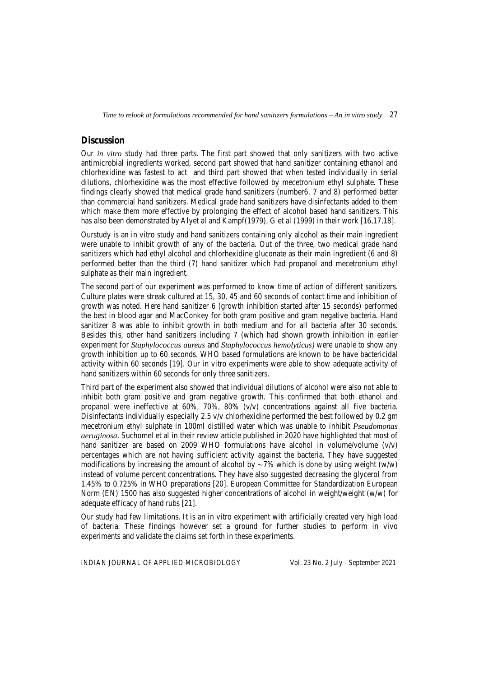### **Discussion**

Our *in vitro* study had three parts. The first part showed that only sanitizers with two active antimicrobial ingredients worked, second part showed that hand sanitizer containing ethanol and chlorhexidine was fastest to act and third part showed that when tested individually in serial dilutions, chlorhexidine was the most effective followed by mecetronium ethyl sulphate. These findings clearly showed that medical grade hand sanitizers (number6, 7 and 8) performed better than commercial hand sanitizers. Medical grade hand sanitizers have disinfectants added to them which make them more effective by prolonging the effect of alcohol based hand sanitizers. This has also been demonstrated by Alyet al and Kampf(1979), G et al (1999) in their work [16,17,18].

Ourstudy is an in vitro study and hand sanitizers containing only alcohol as their main ingredient were unable to inhibit growth of any of the bacteria. Out of the three, two medical grade hand sanitizers which had ethyl alcohol and chlorhexidine gluconate as their main ingredient (6 and 8) performed better than the third (7) hand sanitizer which had propanol and mecetronium ethyl sulphate as their main ingredient.

The second part of our experiment was performed to know time of action of different sanitizers. Culture plates were streak cultured at 15, 30, 45 and 60 seconds of contact time and inhibition of growth was noted. Here hand sanitizer 6 (growth inhibition started after 15 seconds) performed the best in blood agar and MacConkey for both gram positive and gram negative bacteria. Hand sanitizer 8 was able to inhibit growth in both medium and for all bacteria after 30 seconds. Besides this, other hand sanitizers including 7 (which had shown growth inhibition in earlier experiment for *Staphylococcus aureus* and *Staphylococcus hemolyticus)* were unable to show any growth inhibition up to 60 seconds. WHO based formulations are known to be have bactericidal activity within 60 seconds [19]. Our in vitro experiments were able to show adequate activity of hand sanitizers within 60 seconds for only three sanitizers.

Third part of the experiment also showed that individual dilutions of alcohol were also not able to inhibit both gram positive and gram negative growth. This confirmed that both ethanol and propanol were ineffective at 60%, 70%, 80% (v/v) concentrations against all five bacteria. Disinfectants individually especially 2.5 v/v chlorhexidine performed the best followed by 0.2 gm mecetronium ethyl sulphate in 100ml distilled water which was unable to inhibit *Pseudomonas aeruginosa*. Suchomel et al in their review article published in 2020 have highlighted that most of hand sanitizer are based on 2009 WHO formulations have alcohol in volume/volume  $(v/v)$ percentages which are not having sufficient activity against the bacteria. They have suggested modifications by increasing the amount of alcohol by  $\sim$ 7% which is done by using weight (w/w) instead of volume percent concentrations. They have also suggested decreasing the glycerol from 1.45% to 0.725% in WHO preparations [20]. European Committee for Standardization European Norm (EN) 1500 has also suggested higher concentrations of alcohol in weight/weight (w/w) for adequate efficacy of hand rubs [21].

Our study had few limitations. It is an in vitro experiment with artificially created very high load of bacteria. These findings however set a ground for further studies to perform in vivo experiments and validate the claims set forth in these experiments.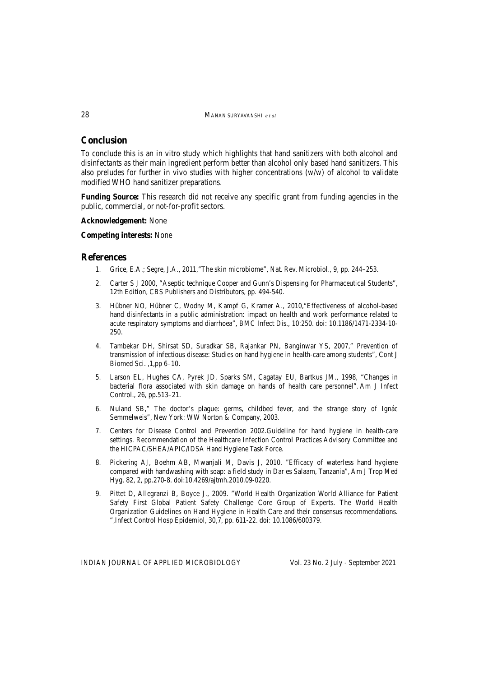### **Conclusion**

To conclude this is an in vitro study which highlights that hand sanitizers with both alcohol and disinfectants as their main ingredient perform better than alcohol only based hand sanitizers. This also preludes for further in vivo studies with higher concentrations (w/w) of alcohol to validate modified WHO hand sanitizer preparations.

**Funding Source:** This research did not receive any specific grant from funding agencies in the public, commercial, or not-for-profit sectors.

#### **Acknowledgement:** None

### **Competing interests:** None

### **References**

- 1. Grice, E.A.; Segre, J.A., 2011,"The skin microbiome", Nat. Rev. Microbiol., 9, pp. 244–253.
- 2. Carter S J 2000, "Aseptic technique Cooper and Gunn's Dispensing for Pharmaceutical Students", 12th Edition, CBS Publishers and Distributors, pp. 494-540.
- 3. Hübner NO, Hübner C, Wodny M, Kampf G, Kramer A., 2010,"Effectiveness of alcohol-based hand disinfectants in a public administration: impact on health and work performance related to acute respiratory symptoms and diarrhoea", BMC Infect Dis., 10:250. doi: 10.1186/1471-2334-10- 250.
- 4. Tambekar DH, Shirsat SD, Suradkar SB, Rajankar PN, Banginwar YS, 2007," Prevention of transmission of infectious disease: Studies on hand hygiene in health-care among students", Cont J Biomed Sci. ,1,pp 6–10.
- 5. Larson EL, Hughes CA, Pyrek JD, Sparks SM, Cagatay EU, Bartkus JM., 1998, "Changes in bacterial flora associated with skin damage on hands of health care personnel". Am J Infect Control., 26, pp.513–21.
- 6. Nuland SB," The doctor's plague: germs, childbed fever, and the strange story of Ignác Semmelweis", New York: WW Norton & Company, 2003.
- 7. Centers for Disease Control and Prevention 2002.Guideline for hand hygiene in health-care settings. Recommendation of the Healthcare Infection Control Practices Advisory Committee and the HICPAC/SHEA/APIC/IDSA Hand Hygiene Task Force.
- 8. Pickering AJ, Boehm AB, Mwanjali M, Davis J, 2010. "Efficacy of waterless hand hygiene compared with handwashing with soap: a field study in Dar es Salaam, Tanzania", Am J Trop Med Hyg. 82, 2, pp.270-8. doi:10.4269/ajtmh.2010.09-0220.
- 9. Pittet D, Allegranzi B, Boyce J., 2009. "World Health Organization World Alliance for Patient Safety First Global Patient Safety Challenge Core Group of Experts. The World Health Organization Guidelines on Hand Hygiene in Health Care and their consensus recommendations. ",Infect Control Hosp Epidemiol, 30,7, pp. 611-22. doi: 10.1086/600379.